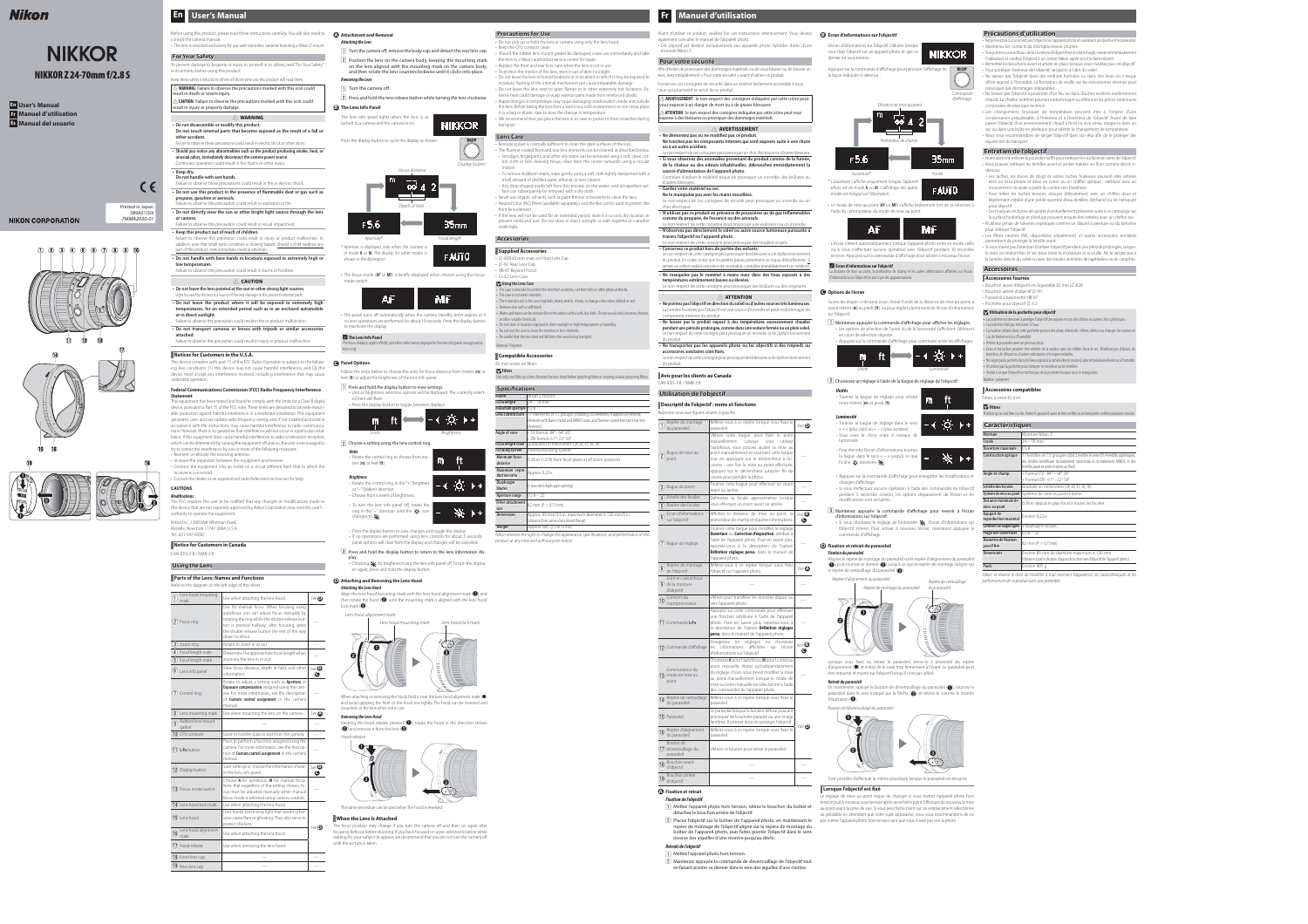# **Fr Manuel d'utilisation**

galement consulter le manuel de l'appareil photo. • Cet objectif est destiné exclusivement aux appareils photo hybrides dotés d'une monture Nikon Z.

#### **Pour votre sécurité**

- Afin d'éviter de provoquer des dommages matériels ou de vous blesser ou de blesser un tiers, lisez intégralement « Pour votre sécurité » avant d'utiliser ce produit.
- Conservez ces consignes de sécurité dans un endroit facilement accessible à tous
- ceux qui pourraient se servir de ce produit.
- A **AVERTISSEMENT :** le non-respect des consignes indiquées par cette icône peut ous exposer à un danger de mort ou à de graves blessures. A **ATTENTION :** le non-respect des consignes indiquées par cette icône peut vous
- exposer à des blessures ou provoquer des dommages matériels. A **AVERTISSEMENT**
- Ne démontez pas ou ne modifiez pas ce produit.
- **Ne touchez pas les composants internes qui sont exposés suite à une chute ou à un autre accident.** Le non-respect de ces consignes peut provoquer un choc électrique ou d'autres blessures.
- **Si vous observez des anomalies provenant du produit comme de la fumée, provenant de la chaleur ou des odeurs inhabituelles, débranchez immédiatement la source d'alimentation de l'appareil photo.**
- Continuer d'utiliser le matériel risque de provoquer un incendie, des brûlures ou d'autres blessures. **• Gardez votre matériel au sec.**
- **Ne le manipulez pas avec les mains mouillées.**
- Le non-respect de ces consignes de sécurité peut provoquer un incendie ou un choc électrique. **• N'utilisez pas ce produit en présence de poussières ou de gaz inflammables**
- **comme du propane, de l'essence ou des aérosols.** Le non-respect de cette consigne peut provoquer une explosion ou un incendie. **• N'observez pas directement le soleil ou autre source lumineuse puissante à à**
- **travers l'objectif ou l'appareil photo.** Le non-respect de cette consigne peut provoquer des troubles visuels.
- **Conservez ce produit hors de portée des enfants.** Le non-respect de cette consigne peut provoquer des blessures ou le dysfonctionnement du produit. En outre, notez que les petites pièces présentent un risque d'étouffement. Si
- jamais un enfant avalait une pièce de ce produit, consultez immédiatement un médecir **• Ne manipulez pas le matériel à mains nues dans des lieux exposés à des températures extrêmement basses ou élevées.**
- Le non-respect de cette consigne peut provoquer des brûlures ou des engelures.

- **Ne pointez pas l'objectif en direction du soleil ou d'autres sources très lumineuses.** La lumière focalisée par l'objectif est une source d'incendie et peut endommager les composants internes du produit.
- **Ne laissez pas le produit exposé à des températures excessivement chaudes pendant une période prolongée, comme dans une voiture fermée ou en plein soleil.** Le non-respect de cette consigne peut provoquer un incendie ou le dysfonctionnement du produit.
- **Ne transportez pas les appareils photo ou les objectifs si des trépieds ou accessoires similaires sont fi fi xés.** Le non-respect de cette consigne peut provoquer des blessures ou le dysfonctionnement
- du produit.
- **Avis pour les clients au Canada** CAN ICES-3 B / NMB-3 B

# A **ATTENTION**

**A** Fixation et retrait **Fixation de l'objectif**

- détachez le bouchon arrière de l'objectif.
- [2] Placez l'objectif sur le boîtier de l'appareil photo, en maintenant le pas mettre l'appareil photo hors tension tant que vous n'avez pas pris la photo. repère de montage de l'objectif aligné sur le repère de montage du boîtier de l'appareil photo, puis faites pivoter l'objectif dans le sens inverse des aiguilles d'une montre jusqu'au déclic.
- 1 Mettez l'appareil photo hors tension.
- [2] Maintenez appuyée la commande de déverrouillage de l'objectif tout



## **Utilisation de l'objectif**

 A **Écran d'informations sur l'objectif** La distance de mise au point, la profondeur de champ et les autres informations affichées sur l'écran

## **Descriptif de l'objectif : noms et fonctions**

Suivez les étapes ci-dessous pour choisir l'unité de la distance de mise au point, à pochette pour objectif CL-C2 savoir mètres (**m**) ou pieds (**ft**), ou pour régler la luminosité de l'écran d'informations sur l'objectif.

 $\lfloor \textbf{l} \rfloor$  Maintenez appuyée la commande d'affichage pour afficher les réglages. • Les options de sélection de l'unité ou de la luminosité s'affichent. L'élément en cours de sélection clignote.

#### **D** Fixation et retrait du parasoleil **Fixation du parasoleil**

Alignez le repère de montage du parasoleil sur le repère d'alignement du parasoleil ( $\bigcirc$ ), puis tournez ce dernier ( $\bigcirc$ ) jusqu'à ce que le repère de montage s'aligne sur le repère de verrouillage du parasoleil  $\left( \bigodot \right)$ .

Lorsque vous fixez ou retirez le parasoleil, tenez-le à proximité du repère d'alignement (●) et évitez de le saisir trop fermement à l'avant. Le parasoleil peut être retourné et monté sur l'objectif lorsqu'il n'est pas utilisé.

| Reportez-vous aux figures situées à gauche.                                   |                                                                                                                                                                                                                                                                                                                                                                    |                        |
|-------------------------------------------------------------------------------|--------------------------------------------------------------------------------------------------------------------------------------------------------------------------------------------------------------------------------------------------------------------------------------------------------------------------------------------------------------------|------------------------|
| Repère de montage<br>$\left(1\right)$<br>du parasoleil                        | Référez-vous à ce repère lorsque vous fixez le<br>parasoleil.                                                                                                                                                                                                                                                                                                      | Voir <sup>O</sup>      |
| Bague de mise au<br>ુ<br>point                                                | Utilisez cette bague pour faire le point<br>manuellement.<br>Lorsque<br>utilisez<br>vous<br>l'autofocus, vous pouvez ajuster la mise au<br>point manuellement en tournant cette bague<br>tout en appuyant sur le déclencheur à mi-<br>course ; une fois la mise au point effectuée,<br>appuyez sur le déclencheur jusqu'en fin de<br>course pour prendre la photo. |                        |
| 3) Bague de zoom                                                              | Tournez cette bague pour effectuer un zoom<br>avant ou arrière.                                                                                                                                                                                                                                                                                                    |                        |
| Échelle des focales<br>$\mathbf{A}$                                           | Définissez la focale approximative lorsque                                                                                                                                                                                                                                                                                                                         |                        |
| $\mathbf{5}$<br>Repère des focales                                            | vous effectuez un zoom avant ou arrière.                                                                                                                                                                                                                                                                                                                           |                        |
| Écran d'informations<br>$\left( 6\right)$<br>sur l'objectif                   | Affichez la distance de mise au point, la<br>profondeur de champ et d'autres informations.                                                                                                                                                                                                                                                                         | $Voir ③$ .<br>G        |
| $(7)$ Bague de réglage                                                        | Tournez cette bague pour modifier le réglage<br>Ouverture ou Correction d'exposition, attribué à<br>l'aide de l'appareil photo. Pour en savoir plus,<br>reportez-vous à la description de l'option<br>Définition réglages perso. dans le manuel de<br>l'appareil photo.                                                                                            |                        |
| Repère de montage<br>$\left( \text{8}\right)$<br>de l'objectif                | Référez-vous à ce repère lorsque vous fixez<br>l'objectif sur l'appareil photo.                                                                                                                                                                                                                                                                                    | Voir $\Omega$          |
| Joint en caoutchouc<br>$(9)$ de la monture<br>d'objectif                      |                                                                                                                                                                                                                                                                                                                                                                    |                        |
| Contacts du<br>ÓÒ)<br>microprocesseur                                         | Utilisés pour transférer les données depuis ou<br>vers l'appareil photo.                                                                                                                                                                                                                                                                                           |                        |
| 11) Commande L-Fn                                                             | Appuyez sur cette commande pour effectuer<br>une fonction attribuée à l'aide de l'appareil<br>photo. Pour en savoir plus, reportez-vous à<br>la description de l'option Définition réglages<br>perso. dans le manuel de l'appareil photo.                                                                                                                          |                        |
| 12 Commande d'affichage                                                       | réglages<br>Enregistrez les<br>choisissez<br>ou<br>affichées<br>informations<br>les<br>l'écran<br>sur<br>d'informations sur l'objectif.                                                                                                                                                                                                                            | Voir $\mathbf{B}$<br>G |
| Commutateur du<br>$(13)$ mode de mise au<br>point                             | Choisissez A pour l'autofocus, M pour la mise au<br>point manuelle. Notez qu'indépendamment<br>du réglage choisi, vous devez modifier la mise<br>au point manuellement lorsque le mode de<br>mise au point manuelle est sélectionné à l'aide<br>des commandes de l'appareil photo.                                                                                 |                        |
| Repère de verrouillage<br>(14)<br>du parasoleil                               | Référez-vous à ce repère lorsque vous fixez le<br>parasoleil.                                                                                                                                                                                                                                                                                                      |                        |
| <b>15</b> Parasoleil                                                          | Le parasoleil bloque la lumière diffuse pouvant<br>provoquer de la lumière parasite ou une image<br>fantôme. Il permet aussi de protéger l'objectif.                                                                                                                                                                                                               | <i>Voir</i> $\odot$    |
| Repère d'alignement<br>$\left( \widehat{\mathsf{16}}\right)$<br>du parasoleil | Référez-vous à ce repère lorsque vous fixez le<br>parasoleil.                                                                                                                                                                                                                                                                                                      |                        |
| Bouton de<br>(17) déverrouillage du<br>parasoleil                             | Utilisez ce bouton pour retirer le parasoleil.                                                                                                                                                                                                                                                                                                                     |                        |
| Bouchon avant<br>$\overline{18}$<br>d'objectif                                |                                                                                                                                                                                                                                                                                                                                                                    |                        |
| Bouchon arrière<br>19<br>d'objectif                                           |                                                                                                                                                                                                                                                                                                                                                                    |                        |

1 Mettez l'appareil photo hors tension, retirez le bouchon du boîtier et au point avant la prise de vue. Si vous avez fait le point sur un emplacement sélectionné Le réglage de mise au point risque de changer si vous mettez l'appareil photo hors tension puis à nouveau sous tension après avoir fait le point. Effectuez de nouveau la mise au préalable en attendant que votre sujet apparaisse, nous vous recommandons de ne

# Nikon

# **NIKKOR NIKKOR Z 24-70mm f/2.8 S**

Ne prenez pas ou ne tenez pas l'objectif ou l'appareil photo en saisissant uniquement le parasol • Maintenez les contacts du microprocesseur propres.

• Les changements brusques de température peuvent être à l'origine d'une condensation préjudiciable à l'intérieur et à l'extérieur de l'objectif. Avant de faire passer l'objectif d'un environnement chaud à froid ou vice versa, rangez-le dans un sac ou dans une boîte en plastique pour ralentir le changement de température. • Nous vous recommandons de ranger l'objectif dans son étui afin de le protéger des

**Entretien de l'objectif** • Normalement, enlever la poussière suffit pour nettoyer les surfaces en verre de l'objectif. • Vous pouvez nettoyer les lentilles avant et arrière traitées au fluor comme décrit ci-

dessous. - Les taches, les traces de doigt et autres taches huileuses peuvent être retirées avec un tissu propre et doux en coton ou un chiffon optique ; nettoyez avec un

• Les filtres neutres (NC, disponibles séparément) et autres accessoires similaires permettent de protéger la lentille avant.

- 
- **Retrait de l'objectif**
- 
- en faisant pivoter ce dernier dans le sens des aiguilles d'une montre.

Nikon reserves the right to change the appearance, specifications, and performance of this

# • Veillez à ce que l'objectif ne tombe pas de la pochette lorsque vous le transportez. Matière : polyester **Accessoires compatibles** Filtres à visser 82 mm **Z** Filtres **Caractéristiques Ouverture maximale** | f/2.8



• Le mode de mise au point (**AF** ou **MF**) s'affiche brièvement lors de sa sélection à l'aide du commutateur du mode de mise au point.



Nikon se réserve le droit de modifier à tout moment l'apparence, les caractéristiques et les performances de ce produit sans avis préalable.

ou si vous n'effectuez aucune opération avec l'objectif pendant 10 secondes environ. Appuyez sur la commande d'affichage pour activer à nouveau l'écran.

# d'informations sur l'objectif ne sont que des approximations.

#### **C Options de l'écran**

- **Do not disassemble or modify this product.**
- **Do not touch internal parts that become exposed as the result of a fall or other accident.** Failure to observe these precautions could result in electric shock or other injury.
- **Should you notice any abnormalities such as the product producing smoke, heat, or unusual odors, immediately disconnect the camera power source.** Continued operation could result in fire, burns or other injury.



 $\lfloor 2 \rfloor$  Choisissez un réglage à l'aide de la bague de réglage de l'objectif.

- Failure to observe these precautions could result in fire or electric shock. • Do not use this product in the presence of flammable dust or gas such as **propane, gasoline or aerosols.**
- Failure to observe this precaution could result in explosion or fire. **• Do not directly view the sun or other bright light source through the lens**
- **or camera.** Failure to observe this precaution could result in visual impairment.
- **Keep this product out of reach of children.** Failure to observe this precaution could result in injury or product malfunction. In addition, note that small parts constitute a choking hazard. Should a child swallow any
- part of this product, seek immediate medical attention. **• Do not handle with bare hands in locations exposed to extremely high or**
- **low temperatures.** Failure to observe this precaution could result in burns or frostbite.

| Unités<br>- Tournez la bague de réglage pour choisir<br>entre mètres ( <b>m</b> ) et pieds ( <b>ft</b> ).                                                                      |  |  |
|--------------------------------------------------------------------------------------------------------------------------------------------------------------------------------|--|--|
| Luminosité<br>- Tournez la bague de réglage dans le sens<br>$\kappa$ + » (plus clair) ou $\kappa$ – » (plus sombre).<br>- Vous avez le choix entre 6 niveaux de<br>luminosité. |  |  |
| - Pour éteindre l'écran d'informations, tournez<br>la baque dans le sens « $-$ » jusqu'à ce que<br>l'icône $\alpha$ devienne $\mathbf x$ .                                     |  |  |

- Appuyez sur la commande d'affichage pour enregistrer les modifications et changer d'affichage. • Si vous n'effectuez aucune opération à l'aide des commandes de l'objectif
- pendant 5 secondes environ, les options disparaissent de l'écran et les modifications sont annulées.
- 3 Maintenez appuyée la commande d'affichage pour revenir à l'écran d'informations sur l'objectif. • Si vous choisissez le réglage de luminosité  $\mathbf{N}$ , l'écran d'informations sur
- l'objectif s'éteint. Pour activer à nouveau l'écran, maintenez appuyée la commande d'affichage.
- 
- Connect the equipment into an outlet on a circuit different from that to which the receiver is connected.



Repère d'alignement du parasoleil

The FCC requires the user to be notified that any changes or modifications made to this device that are not expressly approved by Nikon Corporation may void the user's

### **Retrait du parasoleil**

En maintenant appuyé le bouton de déverrouillage du parasoleil (<sup>1</sup>), tournez le parasoleil dans le sens indiqué par la flèche (2) et retirez-le comme le montre l'illustration  $\left( \bigodot \right)$ .



# **Lorsque l'objectif est fixé**

# **En User's Manual Fr Manuel d'utilisation Es Manual del usuario**

# **NIKON CORPORATION**

# **Précautions d'utilisation**

• Si le joint en caoutchouc de la monture d'objectif est endommagé, cessez immédiatement l'utilisation et confiez l'objectif à un centre Nikon agréé pour le faire réparer. • Remettez les bouchons avant et arrière en place lorsque vous n'utilisez pas cet objectif.

• The focus mode (AF or MF) is briefly displayed when chosen using the focusmode switch.

#### A **The Lens Info Panel** he focus distance, depth of field, and other information displayed in the lens Info panel are approxima-

ons only. **C Panel Options** • Pour protéger l'intérieur de l'objectif, rangez-le à l'abri du soleil. • Ne laissez pas l'objectif dans des endroits humides ou dans des lieux où il risque d'être exposé à l'humidité. La formation de rouille sur les mécanismes internes peut provoquer des dommages irréparables.

• Ne laissez pas l'objectif à proximité d'un feu ou dans d'autres endroits extrêmement chauds. La chaleur extrême pourrait endommager ou déformer les pièces extérieures composées de plastique renforcé.

• Choosing  $\mathbf{N}$  for brightness turns the lens info panel off. To turn the display on again, press and hold the display button.

**Attaching the Lens Hood** Align the lens hood mounting mark with the lens hood alignment mark  $\left(\bigcirc \right)$  and then rotate the hood  $\leftcircled{2}\right)$  until the mounting mark is aligned with the lens hood  $lock$  mark  $\circledast$ ).

When attaching or removing the hood, hold it near the lens hood alignment mark (<sup>•</sup>) and avoid gripping the front of the hood too tightly. The hood can be reversed and mounted on the lens when not in use.

rayures lors du transport.

mouvement circulaire à partir du centre vers l'extérieur. - Pour retirer les taches tenaces, essuyez délicatement avec un chiffon doux et légèrement imbibé d'une petite quantité d'eau distillée, d'éthanol ou de nettoyant pour objectif.

- Les marques en forme de goutte éventuellement présentes suite à ce nettoyage sur la surface hydrofuge et oléofuge peuvent ensuite être retirées avec un chiffon sec. • N'utilisez jamais de solvants organiques comme un diluant à peinture ou du benzène pour nettoyer l'objectif.

• Si vous n'avez pas l'intention d'utiliser l'objectif pendant une période prolongée, rangezle dans un endroit frais et sec pour éviter la moisissure et la rouille. Ne le rangez pas à la lumière directe du soleil ou avec des boules antimites de naphtaline ou de camphre.

- Removing dust is normally sufficient to clean the glass surfaces of the lens. • The fluorine-coated front and rear lens elements can be cleaned as described below. - Smudges, fi ngerprints, and other oily stains can be removed using a soft, clean cotton cloth or lens cleaning tissue; clean from the center outwards using a circular motion.
- To remove stubborn stains, wipe gently using a soft cloth lightly dampened with a small amount of distilled water, ethanol, or lens cleaner. - Any drop-shaped marks left from this process on the water- and oil-repellent sur-
- face can subsequently be removed with a dry cloth. • Never use organic solvents such as paint thinner or benzene to clean the lens.
- Neutral Color (NC) filters (available separately) and the like can be used to protect the front lens element.
- If the lens will not be used for an extended period, store it in a cool, dry location to prevent mold and rust. Do not store in direct sunlight or with naphtha or camphor moth balls.

# **Accessoires**

The case is intended to protect the lens from scratches, not from falls or other physical shocks. • The case is not water resistant.

**Accessoires fournis** • Bouchon avant d'objectif encliquetable 82 mm LC-82B • Bouchon arrière d'objectif LF-N1

• Parasoleil à baïonnette HB-87

### **V** Utilisation de la pochette pour objectif

• La pochette est destinée à protéger l'objectif des rayures et non des chutes ou autres chocs physiques.

La pochette n'est pas résistante à l'eau. • La matière utilisée dans cette pochette peut se décolorer, déteindre, s'étirer, rétrécir ou changer de couleur en as de frottement ou d'humidité.

D **Filters** Use only one filter at a time. Remove the lens hood before attaching filters or rotating circular polarizing filters • Retirez la poussière avec un pinceau doux. L'eau et les taches peuvent être retirées de la surface avec un chiffon doux et sec. N'utilisez pas d'alcool, d benzène, de diluant ou d'autres substances chimiques volatiles.

• Ne rangez pas la pochette dans des lieux exposés à la lumière directe du soleil, à des températures élevées ou à l'humidité. • N'utilisez pas la pochette pour nettoyer le moniteur ou les lentilles.

N'utilisez qu'un seul filtre à la fois. Retirez le parasoleil avant de fixer un filtre ou de faire pivoter un filtre polarisant circulaire

| <b>Caractéristiques</b>               |                                                                                                                                                                                                                           |  |
|---------------------------------------|---------------------------------------------------------------------------------------------------------------------------------------------------------------------------------------------------------------------------|--|
| Monture                               | Monture Nikon 7                                                                                                                                                                                                           |  |
| Focale                                | $24 - 70$ mm                                                                                                                                                                                                              |  |
| Ouverture maximale                    | f/2.8                                                                                                                                                                                                                     |  |
| <b>Construction optique</b>           | 17 lentilles en 15 groupes (dont 2 lentilles en verre ED, 4 lentilles asphériques,<br>des lentilles bénéficiant du traitement nanocristal et du traitement ARNEO, et des<br>lentilles avant et arrière traitées au fluor) |  |
| Angle de champ                        | • Format FX: 84° - 34° 20'<br>• Format $DX:61^{\circ}-22^{\circ}50'$                                                                                                                                                      |  |
| Échelle des focales                   | Graduée en millimètres (24, 28, 35, 50, 70)                                                                                                                                                                               |  |
| Système de mise au point              | Système de mise au point interne                                                                                                                                                                                          |  |
| Distance minimale de<br>mise au point | 0,38 m depuis le plan focal à toutes les focales                                                                                                                                                                          |  |
| Rapport de<br>reproduction maximal    | Environ 0,22×                                                                                                                                                                                                             |  |
| Lamelles de diaphragme                | 9 (diaphragme circulaire)                                                                                                                                                                                                 |  |
| Plage des ouvertures                  | $f/2.8 - 22$                                                                                                                                                                                                              |  |
| Diamètre de fixation<br>pour filtre   | 82 mm ( $P = 0.75$ mm)                                                                                                                                                                                                    |  |
| <b>Dimensions</b>                     | Environ 89 mm de diamètre maximum × 126 mm<br>(distance à partir du plan d'appui de la monture d'objectif de l'appareil photo)                                                                                            |  |
| <b>Poids</b>                          | Environ 805 g                                                                                                                                                                                                             |  |









# **En User's Manual**

#### Before using this product, please read these instructions carefully. You will also need to **A Attachment and Removal** consult the camera manual.

# • This lens is intended exclusively for use with mirrorless cameras featuring a Nikon Z mount.

**For Your Safety** To prevent damage to property or injury to yourself or to others, read "For Your Safety" in its entirety before using this product.

# Keep these safety instructions where all those who use this product will read them.

A **WARNING:** Failure to observe the precautions marked with this icon could result in death or severe injury.

A **CAUTION:** Failure to observe the precautions marked with this icon could result in injury or property damage.

# A **WARNING**

#### **• Keep dry. Do not handle with wet hands.**

## A **CAUTION**

- **Do not leave the lens pointed at the sun or other strong light sources.**
- Light focused by the lens is a source of fire and damage to the product's internal parts. **• Do not leave the product where it will be exposed to extremely high temperatures, for an extended period such as in an enclosed automobile**
- **or in direct sunlight.** Failure to observe this precaution could result in fire or product malfunction.
- **Do not transport cameras or lenses with tripods or similar accessories attached.**
- Failure to observe this precaution could result in injury or product malfunction.

# **Notices for Customers in the U.S.A.**

This device complies with part 15 of the FCC Rules. Operation is subject to the following two conditions: (1) this device may not cause harmful interference, and (2) this device must accept any interference received, including interference that may cause undesired operation.

# **Federal Communications Commission (FCC) Radio Frequency Interference**

**Statement**

This equipment has been tested and found to comply with the limits for a Class B digital device, pursuant to Part 15 of the FCC rules. These limits are designed to provide reasonable protection against harmful interference in a residential installation. This equipment generates, uses, and can radiate radio frequency energy and, if not installed and used in accordance with the instructions, may cause harmful interference to radio communications. However, there is no quarantee that interference will not occur in a particular installation. If this equipment does cause harmful interference to radio or television reception, which can be determined by turning the equipment off and on, the user is encouraged to try to correct the interference by one or more of the following measures: • Reorient or relocate the receiving antenna.

• Increase the separation between the equipment and receiver.

• Consult the dealer or an experienced radio/television technician for help.

# **CAUTIONS**

# **Modifi cations**

authority to operate the equipment. Nikon Inc., 1300 Walt Whitman Road, Melville, New York 11747-3064, U.S.A. Tel.: 631-547-4200 **Notice for Customers in Canada** CAN ICES-3 B / NMB-3 B **Using the Lens Parts of the Lens: Names and Functions**

| $\blacksquare$ rates of the Lens, names and functions<br>Refer to the diagram on the left edge of this sheet. |                                                                                                                                                                                                                                                                   |                            |  |
|---------------------------------------------------------------------------------------------------------------|-------------------------------------------------------------------------------------------------------------------------------------------------------------------------------------------------------------------------------------------------------------------|----------------------------|--|
| Lens hood mounting<br>$\left( 1\right)$<br>mark                                                               | Use when attaching the lens hood.                                                                                                                                                                                                                                 | See $\mathbf{\Theta}$      |  |
| $(2)$ Focus ring                                                                                              | Use for manual focus. When focusing using<br>autofocus, you can adjust focus manually by<br>rotating the ring while the shutter-release but-<br>ton is pressed halfway; after focusing, press<br>the shutter-release button the rest of the way<br>down to shoot. |                            |  |
| $\mathbf{3}$ ) Zoom ring                                                                                      | Rotate to zoom in or out.                                                                                                                                                                                                                                         |                            |  |
| $\left(4\right)$<br>Focal length scale<br>5 Focal length mark                                                 | Determine the approximate focal length when<br>zooming the lens in or out.                                                                                                                                                                                        |                            |  |
| $(6)$ Lens info panel                                                                                         | View focus distance, depth of field, and other<br>information.                                                                                                                                                                                                    | See $\mathbf{\Theta}$<br>G |  |
| $(7)$ Control ring                                                                                            | Rotate to adjust a setting such as <b>Aperture</b> or<br>Exposure compensation assigned using the cam-<br>era. For more information, see the description<br>of Custom control assignment in the camera<br>manual.                                                 |                            |  |
| (8) Lens mounting mark                                                                                        | Use when mounting the lens on the camera.                                                                                                                                                                                                                         | See $\Omega$               |  |
| Rubber lens-mount<br>$\left( 9\right)$<br>gasket                                                              |                                                                                                                                                                                                                                                                   |                            |  |
| 10 CPU contacts                                                                                               | Used to transfer data to and from the camera.                                                                                                                                                                                                                     |                            |  |
| $(1)$ L-Fn button                                                                                             | Press to perform a function assigned using the<br>camera. For more information, see the descrip-<br>tion of Custom control assignment in the camera<br>manual.                                                                                                    |                            |  |
| 12 Display button                                                                                             | Save settings or choose the information shown<br>in the lens info panel.                                                                                                                                                                                          | See $\mathbf{\Theta}$<br>G |  |
| 13 Focus-mode switch                                                                                          | Choose A for autofocus, M for manual focus.<br>Note that regardless of the setting chosen, fo-<br>cus must be adjusted manually when manual<br>focus mode is selected using camera controls.                                                                      |                            |  |
| $(14)$ Lens hood lock mark                                                                                    | Use when attaching the lens hood.                                                                                                                                                                                                                                 |                            |  |
| $(15)$ Lens hood                                                                                              | Lens hoods block stray light that would other-<br>wise cause flare or ghosting. They also serve to<br>protect the lens.                                                                                                                                           |                            |  |
| Lens hood alignment<br>16<br>mark                                                                             | Use when attaching the lens hood.                                                                                                                                                                                                                                 | See $\mathbf{D}$           |  |
| Hood release<br>(17)                                                                                          | Use when removing the lens hood.                                                                                                                                                                                                                                  |                            |  |
| <b>18</b> Front lens cap                                                                                      |                                                                                                                                                                                                                                                                   |                            |  |
| $(19)$ Rear lens cap                                                                                          |                                                                                                                                                                                                                                                                   |                            |  |



**Attaching the Lens**

- $\Box$  Turn the camera off, remove the body cap, and detach the rear lens cap.  $\boxed{2}$  Position the lens on the camera body, keeping the mounting mark on the lens aligned with the mounting mark on the camera body, and then rotate the lens counterclockwise until it clicks into place. **Removing the Lens**
- $\boxed{1}$  Turn the camera off.

# <sup>[2]</sup> Press and hold the lens release button while turning the lens clockwise.





• The panel turns off automatically when the camera standby timer expires or if no lens operations are performed for about 10 seconds. Press the display button to reactivate the display.

Follow the steps below to choose the units for focus distance from meters (**m**) or feet (**ft**) or adjust the brightness of the lens Info panel.

 $\lfloor 1 \rfloor$  Press and hold the display button to view settings. • Unit or brightness selection options will be displayed. The currently selected item will flash.







panel options will clear from the display and changes will be canceled.  $\boxed{3}$  Press and hold the display button to return to the lens information display.

# **D Attaching and Removing the Lens Hood**



## **Removing the Lens Hood**

Keeping the hood release pressed  $(\bigodot)$ , rotate the hood in the direction shown  $\langle \bullet \rangle$  and remove it from the lens  $\langle \bullet \rangle$ .



# **When the Lens Is Attached**

The focus position may change if you turn the camera off and then on again after focusing. Refocus before shooting. If you have focused on a pre-selected location while waiting for your subject to appear, we recommend that you do not turn the camera off until the picture is taken.

### **Precautions for Use**

- Do not pick up or hold the lens or camera using only the lens hood.
- Keep the CPU contacts clean. • Should the rubber lens-mount gasket be damaged, cease use immediately and take the lens to a Nikon-authorized service center for repair.
- Replace the front and rear lens caps when the lens is not in use.
- To protect the interior of the lens, store it out of direct sunlight. • Do not leave the lens in humid locations or in locations in which it may be exposed to
- moisture. Rusting of the internal mechanism can cause irreparable damage. • Do not leave the lens next to open flames or in other extremely hot locations. Extreme heat could damage or warp exterior parts made from reinforced plastic. • Rapid changes in temperature may cause damaging condensation inside and outside the lens. Before taking the lens from a warm to a cold environment or vice versa, place
- it in a bag or plastic case to slow the change in temperature. • We recommend that you place the lens in its case to protect it from scratches during transport.

#### **Lens Care**

#### **Accessories**

**Supplied Accessories**

• LC-82B 82 mm snap-on Front Lens Cap

• LF-N1 Rear Lens Cap • HB-87 Bayonet Hood

## **V** Using the Lens Case

• CL-C2 Lens Case

- The material used in the case may fade, bleed, stretch, shrink, or change color when rubbed or wet. Remove dust with a soft brush.
- Water and stains can be removed from the surface with a soft, dry cloth. Do not use alcohol, benzene, thinne or other volatile chemicals.
- Do not store in locations exposed to direct sunlight or high temperatures or humidity. • Do not use the case to clean the monitor or lens elements.

• Be careful that the lens does not fall from the case during transport.

Material: Polyester

## **Compatible Accessories**

# 82 mm screw-on filters

| <b>Specifications</b>     |                                                                                     |  |
|---------------------------|-------------------------------------------------------------------------------------|--|
| Mount                     | Nikon Z mount                                                                       |  |
| <b>Focal length</b>       | $24 - 70$ mm                                                                        |  |
| Maximum aperture   f/2.8  |                                                                                     |  |
| Lens construction         | 17 elements in 15 groups (including 2 ED elements, 4 aspherical elements,           |  |
|                           | elements with Nano Crystal and ARNEO coats, and fluorine-coated front and rear lens |  |
|                           | elements)                                                                           |  |
| Angle of view             | • FX format: 84°-34° 20'                                                            |  |
|                           | • DX format: $61^{\circ} - 22^{\circ} 50'$                                          |  |
| <b>Focal length scale</b> | Graduated in millimeters (24, 28, 35, 50, 70)                                       |  |
| <b>Focusing system</b>    | Internal focusing system                                                            |  |
| <b>Minimum focus</b>      | 0.38 m (1.25 ft) from focal plane at all zoom positions                             |  |
| distance                  |                                                                                     |  |
| Maximum repro-            | Approx. 0.22×                                                                       |  |
| duction ratio             |                                                                                     |  |
| <b>Diaphragm</b>          | 9 (rounded diaphragm opening)                                                       |  |
| blades                    |                                                                                     |  |
| Aperture range            | $f/2.8 - 22$                                                                        |  |
| <b>Filter-attachment</b>  | 82 mm ( $P = 0.75$ mm)                                                              |  |
| size                      |                                                                                     |  |
| <b>Dimensions</b>         | Approx. 89 mm/3.6 in. maximum diameter $\times$ 126 mm/5 in.                        |  |
|                           | (distance from camera lens mount flange)                                            |  |
| Weight                    | Approx. 805 g (1 lb 12.4 oz)                                                        |  |
|                           |                                                                                     |  |

product at any time and without prior notice.